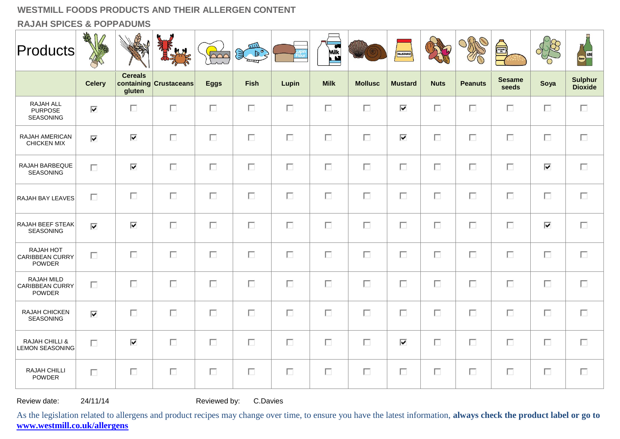**RAJAH SPICES & POPPADUMS**

| $ $ Products $ $                                    | AR<br>KARA                      |                          | <b>Ky</b>              | $\sqrt{200}$ | mл<br>$\mathbb{R}^{\circ}$ |        | <b>Milk</b><br>Ľ |                | <b>MUSTARD</b> |             | OMO            | <b>Experts</b>         |                                 | Beer WINE                        |
|-----------------------------------------------------|---------------------------------|--------------------------|------------------------|--------------|----------------------------|--------|------------------|----------------|----------------|-------------|----------------|------------------------|---------------------------------|----------------------------------|
|                                                     | <b>Celery</b>                   | <b>Cereals</b><br>qluten | containing Crustaceans | <b>Eggs</b>  | <b>Fish</b>                | Lupin  | <b>Milk</b>      | <b>Mollusc</b> | <b>Mustard</b> | <b>Nuts</b> | <b>Peanuts</b> | <b>Sesame</b><br>seeds | Soya                            | <b>Sulphur</b><br><b>Dioxide</b> |
| RAJAH ALL<br><b>PURPOSE</b><br>SEASONING            | $\overline{\blacktriangledown}$ | $\Box$                   | $\Box$                 | $\Box$       | $\Box$                     | $\Box$ | $\Box$           | $\Box$         | ⊽              | $\Box$      | П              | $\Box$                 | П                               | Π.                               |
| RAJAH AMERICAN<br>CHICKEN MIX                       | ⊽                               | ⊽                        | $\Box$                 | $\Box$       | П                          | $\Box$ | П                | $\Box$         | ⊽              | $\Box$      | П              | $\Box$                 | $\Box$                          | $\Box$                           |
| RAJAH BARBEQUE<br>SEASONING                         | П                               | ⊽                        | П                      | $\Box$       | $\Box$                     | $\Box$ | П                | $\Box$         | $\Box$         | $\Box$      | П              | $\Box$                 | $\overline{\blacktriangledown}$ | П                                |
| RAJAH BAY LEAVES                                    | П                               | $\Box$                   | $\Box$                 | $\Box$       | $\Box$                     | $\Box$ | $\Box$           | $\Box$         | $\Box$         | $\Box$      | $\Box$         | $\Box$                 | $\Box$                          | $\Box$                           |
| RAJAH BEEF STEAK<br>SEASONING                       | $\overline{\mathbf{v}}$         | ⊽                        | $\Box$                 | $\Box$       | $\Box$                     | $\Box$ | $\Box$           | $\Box$         | $\Box$         | $\Box$      | $\Box$         | $\Box$                 | $\overline{\mathbf{v}}$         | $\Box$                           |
| RAJAH HOT<br>CARIBBEAN CURRY<br><b>POWDER</b>       | $\Box$                          | $\Box$                   | $\Box$                 | $\Box$       | $\Box$                     | $\Box$ | $\Box$           | $\Box$         | $\Box$         | $\Box$      | $\Box$         | $\Box$                 | $\Box$                          | $\Box$                           |
| RAJAH MILD<br>CARIBBEAN CURRY<br><b>POWDER</b>      | П                               | $\Box$                   | $\Box$                 | $\Box$       | $\Box$                     | $\Box$ | П                | $\Box$         | $\Box$         | $\Box$      | $\Box$         | $\Box$                 | $\Box$                          | $\Box$                           |
| RAJAH CHICKEN<br>SEASONING                          | ⊽                               | $\Box$                   | $\Box$                 | П            | $\Box$                     | $\Box$ | П                | $\Box$         | П              | $\Box$      | $\Box$         | $\Box$                 | $\Box$                          | $\Box$                           |
| <b>RAJAH CHILLI &amp;</b><br><b>LEMON SEASONING</b> | $\Box$                          | ⊽                        | $\Box$                 | $\Box$       | $\Box$                     | $\Box$ | П                | $\Box$         | ⊽              | $\Box$      | $\Box$         | $\Box$                 | $\Box$                          | $\Box$                           |
| RAJAH CHILLI<br><b>POWDER</b>                       | $\Box$                          | $\Box$                   | $\Box$                 | $\Box$       | $\Box$                     | $\Box$ | $\Box$           | $\Box$         | $\Box$         | $\Box$      | $\Box$         | $\Box$                 | $\Box$                          | $\Box$                           |

Review date: 24/11/14 Reviewed by: C.Davies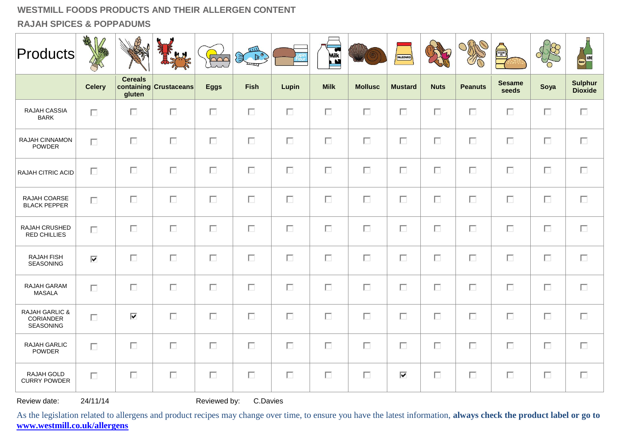**RAJAH SPICES & POPPADUMS**

| <b>Products</b>                                            | 1<br>RANGE    | B                        | <b>K.M.</b>            | $\sqrt{\frac{1}{2}}$ | 四<br>$\begin{picture}(180,10) \put(0,0){\line(1,0){10}} \put(10,0){\line(1,0){10}} \put(10,0){\line(1,0){10}} \put(10,0){\line(1,0){10}} \put(10,0){\line(1,0){10}} \put(10,0){\line(1,0){10}} \put(10,0){\line(1,0){10}} \put(10,0){\line(1,0){10}} \put(10,0){\line(1,0){10}} \put(10,0){\line(1,0){10}} \put(10,0){\line(1,0){10}} \put(10,0){\line($ |        | Milk        |                | MUSTARD        |             | OMP            | é)                     |        | Beer WINE                        |
|------------------------------------------------------------|---------------|--------------------------|------------------------|----------------------|----------------------------------------------------------------------------------------------------------------------------------------------------------------------------------------------------------------------------------------------------------------------------------------------------------------------------------------------------------|--------|-------------|----------------|----------------|-------------|----------------|------------------------|--------|----------------------------------|
|                                                            | <b>Celery</b> | <b>Cereals</b><br>gluten | containing Crustaceans | <b>Eggs</b>          | <b>Fish</b>                                                                                                                                                                                                                                                                                                                                              | Lupin  | <b>Milk</b> | <b>Mollusc</b> | <b>Mustard</b> | <b>Nuts</b> | <b>Peanuts</b> | <b>Sesame</b><br>seeds | Soya   | <b>Sulphur</b><br><b>Dioxide</b> |
| RAJAH CASSIA<br><b>BARK</b>                                | П             | П                        | П                      | $\Box$               | $\Box$                                                                                                                                                                                                                                                                                                                                                   | П      | $\Box$      | П              | П              | $\Box$      | $\Box$         | $\Box$                 | $\Box$ | $\Box$                           |
| RAJAH CINNAMON<br>POWDER                                   | П             | $\Box$                   | $\Box$                 | $\Box$               | $\Box$                                                                                                                                                                                                                                                                                                                                                   | $\Box$ | $\Box$      | $\Box$         | $\Box$         | $\Box$      | $\Box$         | $\Box$                 | $\Box$ | $\Box$                           |
| RAJAH CITRIC ACID                                          | П             | П                        | П                      | $\Box$               | $\Box$                                                                                                                                                                                                                                                                                                                                                   | П      | $\Box$      | $\Box$         | П              | $\Box$      | $\Box$         | $\Box$                 | $\Box$ | $\Box$                           |
| RAJAH COARSE<br><b>BLACK PEPPER</b>                        | П             | П                        | $\Box$                 | $\Box$               | $\Box$                                                                                                                                                                                                                                                                                                                                                   | $\Box$ | $\Box$      | $\Box$         | $\Box$         | $\Box$      | $\Box$         | $\Box$                 | $\Box$ | $\Box$                           |
| RAJAH CRUSHED<br><b>RED CHILLIES</b>                       | П             | П                        | П                      | $\Box$               | П                                                                                                                                                                                                                                                                                                                                                        | П      | $\Box$      | П              | $\Box$         | $\Box$      | П              | $\Box$                 | $\Box$ | П                                |
| <b>RAJAH FISH</b><br><b>SEASONING</b>                      | ⊽             | П                        | $\Box$                 | $\Box$               | $\Box$                                                                                                                                                                                                                                                                                                                                                   | $\Box$ | $\Box$      | $\Box$         | $\Box$         | $\Box$      | $\Box$         | $\Box$                 | $\Box$ | $\Box$                           |
| RAJAH GARAM<br><b>MASALA</b>                               | П             | П                        | $\Box$                 | $\Box$               | $\Box$                                                                                                                                                                                                                                                                                                                                                   | $\Box$ | $\Box$      | $\Box$         | $\Box$         | $\Box$      | $\Box$         | $\Box$                 | $\Box$ | $\Box$                           |
| <b>RAJAH GARLIC &amp;</b><br>CORIANDER<br><b>SEASONING</b> | П             | $\overline{\mathbf{v}}$  | $\Box$                 | $\Box$               | $\Box$                                                                                                                                                                                                                                                                                                                                                   | $\Box$ | $\Box$      | $\Box$         | $\Box$         | $\Box$      | $\Box$         | $\Box$                 | $\Box$ | $\Box$                           |
| RAJAH GARLIC<br><b>POWDER</b>                              | П             | П                        | $\Box$                 | $\Box$               | $\Box$                                                                                                                                                                                                                                                                                                                                                   | $\Box$ | $\Box$      | П              | П              | $\Box$      | $\Box$         | $\Box$                 | $\Box$ | $\Box$                           |
| RAJAH GOLD<br><b>CURRY POWDER</b>                          | П.            | П                        | $\Box$                 | $\Box$               | $\Box$                                                                                                                                                                                                                                                                                                                                                   | П      | $\Box$      | $\Box$         | ⊽              | П           | $\Box$         | $\Box$                 | $\Box$ | П                                |

Review date: 24/11/14 Reviewed by: C.Davies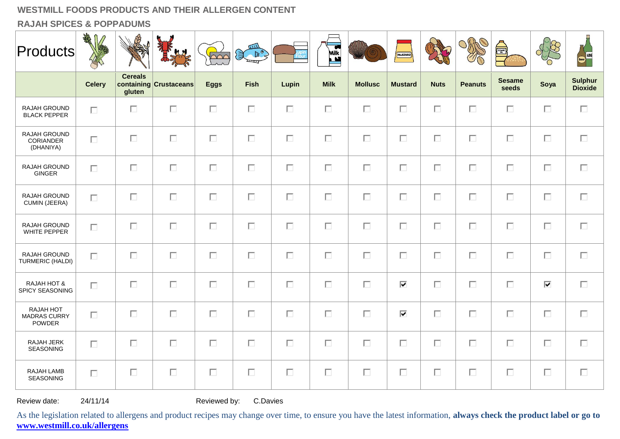**RAJAH SPICES & POPPADUMS**

| <b>Products</b>                                   | 绿             |                          | <b>KN</b>              | $\sqrt{\frac{1}{2}}$ | $\overline{1111}$<br>{           (<br>● |        | <b>Milk</b> |                | <b>MUSTARD</b> |             | ORAO           | <b>Allen</b>           |        | Beer WINE                        |
|---------------------------------------------------|---------------|--------------------------|------------------------|----------------------|-----------------------------------------|--------|-------------|----------------|----------------|-------------|----------------|------------------------|--------|----------------------------------|
|                                                   | <b>Celery</b> | <b>Cereals</b><br>gluten | containing Crustaceans | <b>Eggs</b>          | <b>Fish</b>                             | Lupin  | <b>Milk</b> | <b>Mollusc</b> | <b>Mustard</b> | <b>Nuts</b> | <b>Peanuts</b> | <b>Sesame</b><br>seeds | Soya   | <b>Sulphur</b><br><b>Dioxide</b> |
| RAJAH GROUND<br><b>BLACK PEPPER</b>               | П             | $\Box$                   | $\Box$                 | $\Box$               | $\Box$                                  | $\Box$ | $\Box$      | $\Box$         | П              | $\Box$      | $\Box$         | $\Box$                 | $\Box$ | $\Box$                           |
| RAJAH GROUND<br>CORIANDER<br>(DHANIYA)            | $\Box$        | $\Box$                   | $\Box$                 | $\Box$               | $\Box$                                  | $\Box$ | $\Box$      | $\Box$         | П              | $\Box$      | $\Box$         | $\Box$                 | $\Box$ | $\Box$                           |
| RAJAH GROUND<br>GINGER                            | $\Box$        | $\Box$                   | $\Box$                 | $\Box$               | $\Box$                                  | П      | $\Box$      | $\Box$         | П              | $\Box$      | $\Box$         | П                      | $\Box$ | $\Box$                           |
| RAJAH GROUND<br><b>CUMIN (JEERA)</b>              | $\Box$        | П                        | $\Box$                 | $\Box$               | $\Box$                                  | П      | $\Box$      | $\Box$         | П              | $\Box$      | $\Box$         | П                      | $\Box$ | $\Box$                           |
| RAJAH GROUND<br>WHITE PEPPER                      | $\Box$        | П                        | $\Box$                 | $\Box$               | $\Box$                                  | $\Box$ | $\Box$      | $\Box$         | П              | $\Box$      | $\Box$         | $\Box$                 | $\Box$ | $\Box$                           |
| RAJAH GROUND<br>TURMERIC (HALDI)                  | $\Box$        | П                        | $\Box$                 | $\Box$               | $\Box$                                  | $\Box$ | $\Box$      | $\Box$         | $\Box$         | $\Box$      | $\Box$         | $\Box$                 | $\Box$ | $\Box$                           |
| RAJAH HOT &<br>SPICY SEASONING                    | $\Box$        | П.                       | $\Box$                 | $\Box$               | $\Box$                                  | $\Box$ | $\Box$      | $\Box$         | ⊽              | $\Box$      | $\Box$         | $\Box$                 | ⊽      | $\Box$                           |
| RAJAH HOT<br><b>MADRAS CURRY</b><br><b>POWDER</b> | $\Box$        | $\Box$                   | $\Box$                 | $\Box$               | $\Box$                                  | П      | $\Box$      | $\Box$         | ⊽              | $\Box$      | $\Box$         | $\Box$                 | $\Box$ | $\Box$                           |
| RAJAH JERK<br><b>SEASONING</b>                    | $\Box$        | П                        | $\Box$                 | $\Box$               | $\Box$                                  | $\Box$ | $\Box$      | $\Box$         | П              | $\Box$      | $\Box$         | $\Box$                 | $\Box$ | $\Box$                           |
| RAJAH LAMB<br><b>SEASONING</b>                    | $\Box$        | $\Box$                   | $\Box$                 | $\Box$               | $\Box$                                  | П      | $\Box$      | $\Box$         | П              | $\Box$      | $\Box$         | $\Box$                 | $\Box$ | $\Box$                           |

Review date: 24/11/14 Reviewed by: C.Davies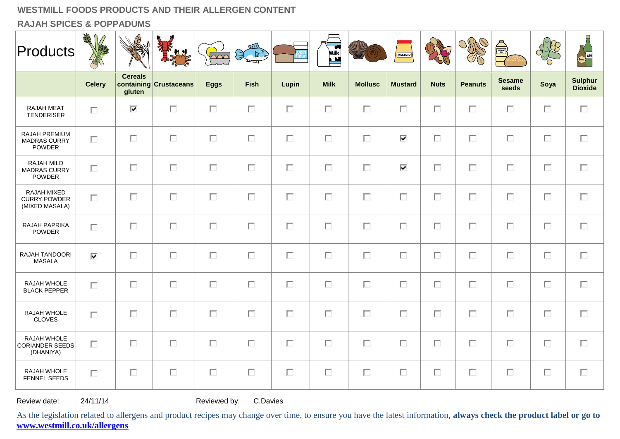**RAJAH SPICES & POPPADUMS**

| <b>Products</b>                                       | AMA<br>$\mathbb{D}$             |                          | <b>KN</b>              | $\sim$      | $\overline{u}$<br>$\mathbb{B}^{\circ}$ |        | <b>Milk</b> |                | <b>MUSTARD</b>                  |             |                | SESAME <sub>OR</sub>   |        | Beer WINE                        |
|-------------------------------------------------------|---------------------------------|--------------------------|------------------------|-------------|----------------------------------------|--------|-------------|----------------|---------------------------------|-------------|----------------|------------------------|--------|----------------------------------|
|                                                       | <b>Celery</b>                   | <b>Cereals</b><br>gluten | containing Crustaceans | <b>Eggs</b> | <b>Fish</b>                            | Lupin  | <b>Milk</b> | <b>Mollusc</b> | <b>Mustard</b>                  | <b>Nuts</b> | <b>Peanuts</b> | <b>Sesame</b><br>seeds | Soya   | <b>Sulphur</b><br><b>Dioxide</b> |
| <b>RAJAH MEAT</b><br><b>TENDERISER</b>                | $\Box$                          | $\overline{\mathbf{v}}$  | $\Box$                 | $\Box$      | $\Box$                                 | $\Box$ | $\Box$      | $\Box$         | $\Box$                          | $\Box$      | $\Box$         | П                      | $\Box$ | $\Box$                           |
| RAJAH PREMIUM<br><b>MADRAS CURRY</b><br><b>POWDER</b> | П                               | $\Box$                   | $\Box$                 | $\Box$      | $\Box$                                 | $\Box$ | $\Box$      | $\Box$         | $\overline{\blacktriangledown}$ | $\Box$      | $\Box$         | $\Box$                 | П      | $\Box$                           |
| RAJAH MILD<br><b>MADRAS CURRY</b><br>POWDER           | $\Box$                          | $\Box$                   | $\Box$                 | $\Box$      | $\Box$                                 | $\Box$ | $\Box$      | $\Box$         | $\overline{\blacktriangledown}$ | $\Box$      | $\Box$         | $\Box$                 | П      | $\Box$                           |
| RAJAH MIXED<br><b>CURRY POWDER</b><br>(MIXED MASALA)  | $\Box$                          | $\Box$                   | $\Box$                 | $\Box$      | $\Box$                                 | $\Box$ | $\Box$      | $\Box$         | $\Box$                          | $\Box$      | $\Box$         | $\Box$                 | $\Box$ | $\Box$                           |
| RAJAH PAPRIKA<br><b>POWDER</b>                        | $\Box$                          | $\Box$                   | $\Box$                 | $\Box$      | $\Box$                                 | $\Box$ | $\Box$      | $\Box$         | $\Box$                          | $\Box$      | $\Box$         | $\Box$                 | $\Box$ | $\Box$                           |
| RAJAH TANDOORI<br><b>MASALA</b>                       | $\overline{\blacktriangledown}$ | $\Box$                   | $\Box$                 | $\Box$      | $\Box$                                 | $\Box$ | $\Box$      | $\Box$         | $\Box$                          | $\Box$      | $\Box$         | $\Box$                 | $\Box$ | $\Box$                           |
| RAJAH WHOLE<br><b>BLACK PEPPER</b>                    | $\Box$                          | $\Box$                   | $\Box$                 | $\Box$      | $\Box$                                 | $\Box$ | $\Box$      | $\Box$         | $\Box$                          | $\Box$      | $\Box$         | П                      | $\Box$ | $\Box$                           |
| RAJAH WHOLE<br><b>CLOVES</b>                          | П                               | $\Box$                   | $\Box$                 | $\Box$      | $\Box$                                 | $\Box$ | $\Box$      | $\Box$         | $\Box$                          | $\Box$      | $\Box$         | П                      | $\Box$ | $\Box$                           |
| RAJAH WHOLE<br><b>CORIANDER SEEDS</b><br>(DHANIYA)    | П                               | $\Box$                   | $\Box$                 | $\Box$      | $\Box$                                 | $\Box$ | $\Box$      | $\Box$         | $\Box$                          | $\Box$      | $\Box$         | $\Box$                 | $\Box$ | $\Box$                           |
| RAJAH WHOLE<br><b>FENNEL SEEDS</b>                    | $\Box$                          | $\Box$                   | $\Box$                 | $\Box$      | П                                      | $\Box$ | $\Box$      | $\Box$         | П                               | $\Box$      | $\Box$         | П                      | П      | $\Box$                           |

Review date: 24/11/14 Reviewed by: C.Davies